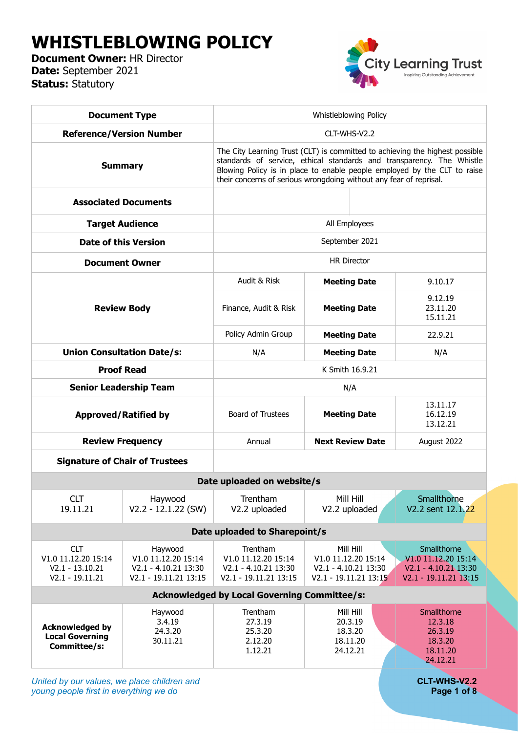# **WHISTLEBLOWING POLICY**

**Document Owner:** HR Director **Date:** September 2021 **Status:** Statutory



| <b>Document Type</b>                                                                                         |                                                                                 | Whistleblowing Policy                                                                                                                                                                                                                                                                                   |                                                                                   |                                                                                         |  |  |  |  |
|--------------------------------------------------------------------------------------------------------------|---------------------------------------------------------------------------------|---------------------------------------------------------------------------------------------------------------------------------------------------------------------------------------------------------------------------------------------------------------------------------------------------------|-----------------------------------------------------------------------------------|-----------------------------------------------------------------------------------------|--|--|--|--|
| <b>Reference/Version Number</b>                                                                              |                                                                                 | CLT-WHS-V2.2                                                                                                                                                                                                                                                                                            |                                                                                   |                                                                                         |  |  |  |  |
| <b>Summary</b>                                                                                               |                                                                                 | The City Learning Trust (CLT) is committed to achieving the highest possible<br>standards of service, ethical standards and transparency. The Whistle<br>Blowing Policy is in place to enable people employed by the CLT to raise<br>their concerns of serious wrongdoing without any fear of reprisal. |                                                                                   |                                                                                         |  |  |  |  |
| <b>Associated Documents</b>                                                                                  |                                                                                 |                                                                                                                                                                                                                                                                                                         |                                                                                   |                                                                                         |  |  |  |  |
| <b>Target Audience</b>                                                                                       |                                                                                 | All Employees                                                                                                                                                                                                                                                                                           |                                                                                   |                                                                                         |  |  |  |  |
| <b>Date of this Version</b>                                                                                  |                                                                                 | September 2021                                                                                                                                                                                                                                                                                          |                                                                                   |                                                                                         |  |  |  |  |
| <b>Document Owner</b>                                                                                        |                                                                                 | <b>HR Director</b>                                                                                                                                                                                                                                                                                      |                                                                                   |                                                                                         |  |  |  |  |
| <b>Review Body</b>                                                                                           |                                                                                 | Audit & Risk                                                                                                                                                                                                                                                                                            | <b>Meeting Date</b>                                                               | 9.10.17                                                                                 |  |  |  |  |
|                                                                                                              |                                                                                 | Finance, Audit & Risk                                                                                                                                                                                                                                                                                   | <b>Meeting Date</b>                                                               | 9.12.19<br>23.11.20<br>15.11.21                                                         |  |  |  |  |
|                                                                                                              |                                                                                 | Policy Admin Group                                                                                                                                                                                                                                                                                      | <b>Meeting Date</b>                                                               | 22.9.21                                                                                 |  |  |  |  |
| <b>Union Consultation Date/s:</b>                                                                            |                                                                                 | N/A                                                                                                                                                                                                                                                                                                     | <b>Meeting Date</b>                                                               | N/A                                                                                     |  |  |  |  |
| <b>Proof Read</b>                                                                                            |                                                                                 | K Smith 16.9.21                                                                                                                                                                                                                                                                                         |                                                                                   |                                                                                         |  |  |  |  |
| <b>Senior Leadership Team</b>                                                                                |                                                                                 | N/A                                                                                                                                                                                                                                                                                                     |                                                                                   |                                                                                         |  |  |  |  |
| <b>Approved/Ratified by</b>                                                                                  |                                                                                 | <b>Board of Trustees</b>                                                                                                                                                                                                                                                                                | <b>Meeting Date</b>                                                               | 13.11.17<br>16.12.19<br>13.12.21                                                        |  |  |  |  |
| <b>Review Frequency</b>                                                                                      |                                                                                 | Annual                                                                                                                                                                                                                                                                                                  | <b>Next Review Date</b>                                                           | August 2022                                                                             |  |  |  |  |
|                                                                                                              | <b>Signature of Chair of Trustees</b>                                           |                                                                                                                                                                                                                                                                                                         |                                                                                   |                                                                                         |  |  |  |  |
| Date uploaded on website/s                                                                                   |                                                                                 |                                                                                                                                                                                                                                                                                                         |                                                                                   |                                                                                         |  |  |  |  |
| <b>CLT</b><br>19.11.21                                                                                       | Haywood<br>$V2.2 - 12.1.22$ (SW)                                                | Trentham<br>V2.2 uploaded                                                                                                                                                                                                                                                                               | Mill Hill<br>V2.2 uploaded                                                        | Smallthorne<br>V2.2 sent 12.1.22                                                        |  |  |  |  |
| Date uploaded to Sharepoint/s                                                                                |                                                                                 |                                                                                                                                                                                                                                                                                                         |                                                                                   |                                                                                         |  |  |  |  |
| <b>CLT</b><br>V1.0 11.12.20 15:14<br>$V2.1 - 13.10.21$<br>$V2.1 - 19.11.21$                                  | Haywood<br>V1.0 11.12.20 15:14<br>V2.1 - 4.10.21 13:30<br>V2.1 - 19.11.21 13:15 | Trentham<br>V1.0 11.12.20 15:14<br>V2.1 - 4.10.21 13:30<br>V2.1 - 19.11.21 13:15                                                                                                                                                                                                                        | Mill Hill<br>V1.0 11.12.20 15:14<br>V2.1 - 4.10.21 13:30<br>V2.1 - 19.11.21 13:15 | Smallthorne<br>V1.0 11.12.20 15:14<br>$V2.1 - 4.10.21$ 13:30<br>$V2.1 - 19.11.21$ 13:15 |  |  |  |  |
| <b>Acknowledged by Local Governing Committee/s:</b>                                                          |                                                                                 |                                                                                                                                                                                                                                                                                                         |                                                                                   |                                                                                         |  |  |  |  |
| Haywood<br>3.4.19<br><b>Acknowledged by</b><br>24.3.20<br><b>Local Governing</b><br>30.11.21<br>Committee/s: |                                                                                 | Trentham<br>27.3.19<br>25.3.20<br>2.12.20<br>1.12.21                                                                                                                                                                                                                                                    | Mill Hill<br>20.3.19<br>18.3.20<br>18.11.20<br>24.12.21                           | Smallthorne<br>12.3.18<br>26.3.19<br>18.3.20<br>18.11.20<br>24.12.21                    |  |  |  |  |
|                                                                                                              |                                                                                 |                                                                                                                                                                                                                                                                                                         |                                                                                   |                                                                                         |  |  |  |  |

*United by our values, we place children and* **CLT-WHS-V2.2** *young people first in everything we do* **Page 1 of 8**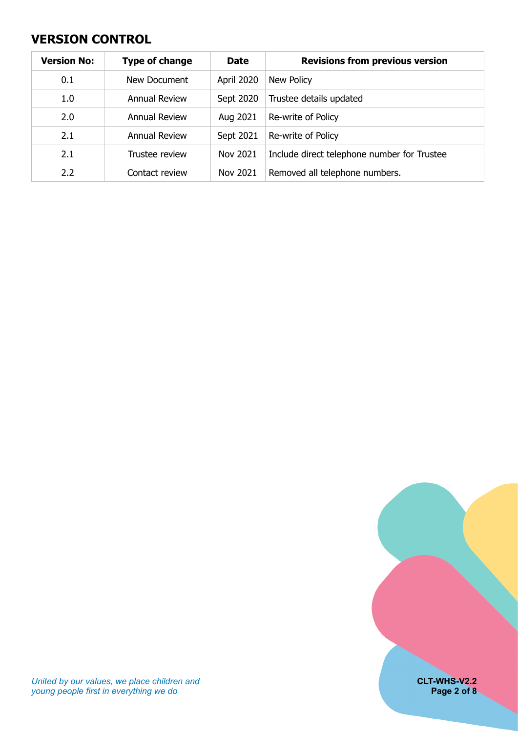### <span id="page-1-0"></span>**VERSION CONTROL**

| <b>Version No:</b> | <b>Type of change</b> | <b>Date</b>       | <b>Revisions from previous version</b>      |
|--------------------|-----------------------|-------------------|---------------------------------------------|
| 0.1                | New Document          | <b>April 2020</b> | New Policy                                  |
| 1.0                | <b>Annual Review</b>  | Sept 2020         | Trustee details updated                     |
| 2.0                | <b>Annual Review</b>  | Aug 2021          | Re-write of Policy                          |
| 2.1                | <b>Annual Review</b>  | Sept 2021         | Re-write of Policy                          |
| 2.1                | Trustee review        | Nov 2021          | Include direct telephone number for Trustee |
| 2.2                | Contact review        | Nov 2021          | Removed all telephone numbers.              |

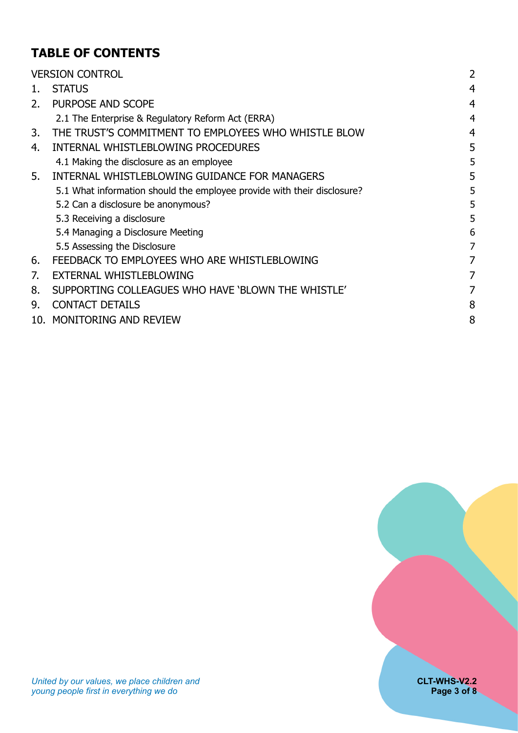# **TABLE OF CONTENTS**

|    | <b>VERSION CONTROL</b>                                                  | 2 |
|----|-------------------------------------------------------------------------|---|
| 1. | <b>STATUS</b>                                                           |   |
| 2. | PURPOSE AND SCOPE                                                       |   |
|    | 2.1 The Enterprise & Regulatory Reform Act (ERRA)                       |   |
| 3. | THE TRUST'S COMMITMENT TO EMPLOYEES WHO WHISTLE BLOW                    |   |
| 4. | INTERNAL WHISTLEBLOWING PROCEDURES                                      | 5 |
|    | 4.1 Making the disclosure as an employee                                | 5 |
| 5. | INTERNAL WHISTLEBLOWING GUIDANCE FOR MANAGERS                           |   |
|    | 5.1 What information should the employee provide with their disclosure? |   |
|    | 5.2 Can a disclosure be anonymous?                                      | 5 |
|    | 5.3 Receiving a disclosure                                              | 5 |
|    | 5.4 Managing a Disclosure Meeting                                       | 6 |
|    | 5.5 Assessing the Disclosure                                            | 7 |
| 6. | FEEDBACK TO EMPLOYEES WHO ARE WHISTLEBLOWING                            | 7 |
| 7. | EXTERNAL WHISTLEBLOWING                                                 |   |
| 8. | SUPPORTING COLLEAGUES WHO HAVE 'BLOWN THE WHISTLE'                      |   |
| 9. | <b>CONTACT DETAILS</b>                                                  | 8 |
|    | 10. MONITORING AND REVIEW                                               | 8 |

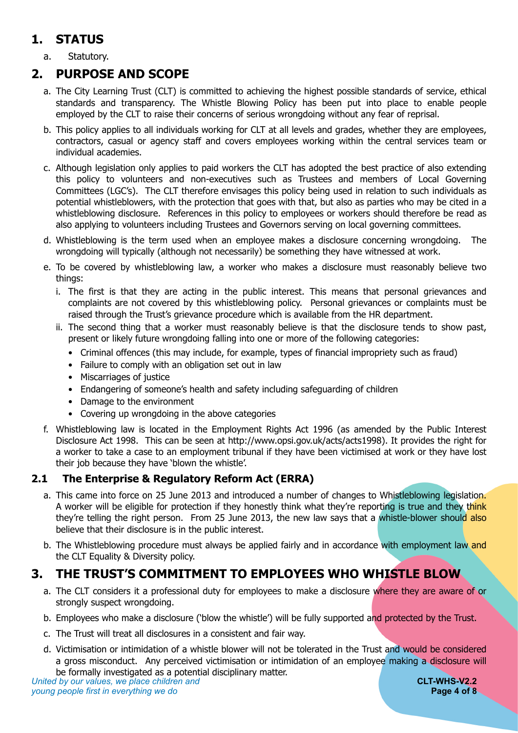# <span id="page-3-0"></span>**1. STATUS**

a. Statutory.

### **2. PURPOSE AND SCOPE**

- <span id="page-3-1"></span>a. The City Learning Trust (CLT) is committed to achieving the highest possible standards of service, ethical standards and transparency. The Whistle Blowing Policy has been put into place to enable people employed by the CLT to raise their concerns of serious wrongdoing without any fear of reprisal.
- b. This policy applies to all individuals working for CLT at all levels and grades, whether they are employees, contractors, casual or agency staff and covers employees working within the central services team or individual academies.
- c. Although legislation only applies to paid workers the CLT has adopted the best practice of also extending this policy to volunteers and non-executives such as Trustees and members of Local Governing Committees (LGC's). The CLT therefore envisages this policy being used in relation to such individuals as potential whistleblowers, with the protection that goes with that, but also as parties who may be cited in a whistleblowing disclosure. References in this policy to employees or workers should therefore be read as also applying to volunteers including Trustees and Governors serving on local governing committees.
- d. Whistleblowing is the term used when an employee makes a disclosure concerning wrongdoing. The wrongdoing will typically (although not necessarily) be something they have witnessed at work.
- e. To be covered by whistleblowing law, a worker who makes a disclosure must reasonably believe two things:
	- i. The first is that they are acting in the public interest. This means that personal grievances and complaints are not covered by this whistleblowing policy. Personal grievances or complaints must be raised through the Trust's grievance procedure which is available from the HR department.
	- ii. The second thing that a worker must reasonably believe is that the disclosure tends to show past, present or likely future wrongdoing falling into one or more of the following categories:
		- Criminal offences (this may include, for example, types of financial impropriety such as fraud)
		- Failure to comply with an obligation set out in law
		- Miscarriages of justice
		- Endangering of someone's health and safety including safeguarding of children
		- Damage to the environment
		- Covering up wrongdoing in the above categories
- f. Whistleblowing law is located in the Employment Rights Act 1996 (as amended by the Public Interest Disclosure Act 1998. This can be seen at http://www.opsi.gov.uk/acts/acts1998). It provides the right for a worker to take a case to an employment tribunal if they have been victimised at work or they have lost their job because they have 'blown the whistle'.

#### <span id="page-3-2"></span>**2.1 The Enterprise & Regulatory Reform Act (ERRA)**

- a. This came into force on 25 June 2013 and introduced a number of changes to Whistleblowing legislation. A worker will be eligible for protection if they honestly think what they're reporting is true and they think they're telling the right person. From 25 June 2013, the new law says that a whistle-blower should also believe that their disclosure is in the public interest.
- b. The Whistleblowing procedure must always be applied fairly and in accordance with employment law and the CLT Equality & Diversity policy.

### **3. THE TRUST'S COMMITMENT TO EMPLOYEES WHO WHISTLE BLOW**

- <span id="page-3-3"></span>a. The CLT considers it a professional duty for employees to make a disclosure where they are aware of or strongly suspect wrongdoing.
- b. Employees who make a disclosure ('blow the whistle') will be fully supported and protected by the Trust.
- c. The Trust will treat all disclosures in a consistent and fair way.
- d. Victimisation or intimidation of a whistle blower will not be tolerated in the Trust and would be considered a gross misconduct. Any perceived victimisation or intimidation of an employee making a disclosure will be formally investigated as a potential disciplinary matter.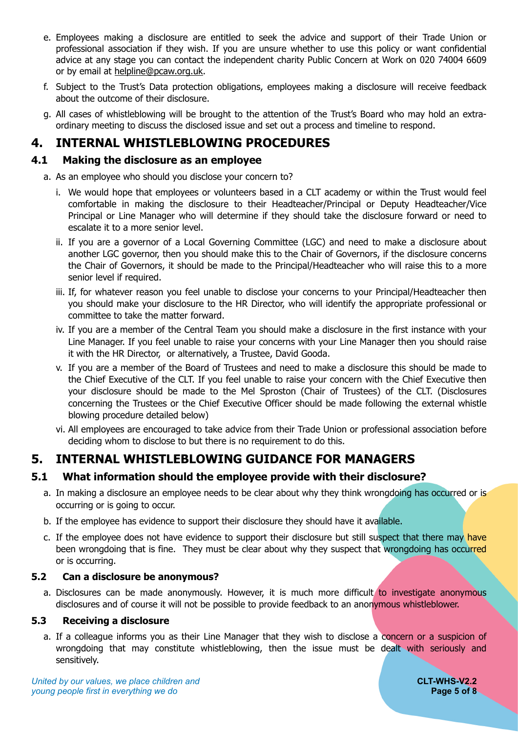- e. Employees making a disclosure are entitled to seek the advice and support of their Trade Union or professional association if they wish. If you are unsure whether to use this policy or want confidential advice at any stage you can contact the independent charity Public Concern at Work on 020 74004 6609 or by email at [helpline@pcaw.org.uk](mailto:helpline@pcaw.org.uk).
- f. Subject to the Trust's Data protection obligations, employees making a disclosure will receive feedback about the outcome of their disclosure.
- g. All cases of whistleblowing will be brought to the attention of the Trust's Board who may hold an extraordinary meeting to discuss the disclosed issue and set out a process and timeline to respond.

### <span id="page-4-0"></span>**4. INTERNAL WHISTLEBLOWING PROCEDURES**

#### <span id="page-4-1"></span>**4.1 Making the disclosure as an employee**

a. As an employee who should you disclose your concern to?

- i. We would hope that employees or volunteers based in a CLT academy or within the Trust would feel comfortable in making the disclosure to their Headteacher/Principal or Deputy Headteacher/Vice Principal or Line Manager who will determine if they should take the disclosure forward or need to escalate it to a more senior level.
- ii. If you are a governor of a Local Governing Committee (LGC) and need to make a disclosure about another LGC governor, then you should make this to the Chair of Governors, if the disclosure concerns the Chair of Governors, it should be made to the Principal/Headteacher who will raise this to a more senior level if required.
- iii. If, for whatever reason you feel unable to disclose your concerns to your Principal/Headteacher then you should make your disclosure to the HR Director, who will identify the appropriate professional or committee to take the matter forward.
- iv. If you are a member of the Central Team you should make a disclosure in the first instance with your Line Manager. If you feel unable to raise your concerns with your Line Manager then you should raise it with the HR Director, or alternatively, a Trustee, David Gooda.
- v. If you are a member of the Board of Trustees and need to make a disclosure this should be made to the Chief Executive of the CLT. If you feel unable to raise your concern with the Chief Executive then your disclosure should be made to the Mel Sproston (Chair of Trustees) of the CLT. (Disclosures concerning the Trustees or the Chief Executive Officer should be made following the external whistle blowing procedure detailed below)
- vi. All employees are encouraged to take advice from their Trade Union or professional association before deciding whom to disclose to but there is no requirement to do this.

### <span id="page-4-2"></span>**5. INTERNAL WHISTLEBLOWING GUIDANCE FOR MANAGERS**

#### <span id="page-4-3"></span>**5.1 What information should the employee provide with their disclosure?**

- a. In making a disclosure an employee needs to be clear about why they think wrongdoing has occurred or is occurring or is going to occur.
- b. If the employee has evidence to support their disclosure they should have it available.
- c. If the employee does not have evidence to support their disclosure but still suspect that there may have been wrongdoing that is fine. They must be clear about why they suspect that wrongdoing has occurred or is occurring.

#### <span id="page-4-4"></span>**5.2 Can a disclosure be anonymous?**

a. Disclosures can be made anonymously. However, it is much more difficult to investigate anonymous disclosures and of course it will not be possible to provide feedback to an anonymous whistleblower.

#### <span id="page-4-5"></span>**5.3 Receiving a disclosure**

a. If a colleague informs you as their Line Manager that they wish to disclose a concern or a suspicion of wrongdoing that may constitute whistleblowing, then the issue must be dealt with seriously and sensitively.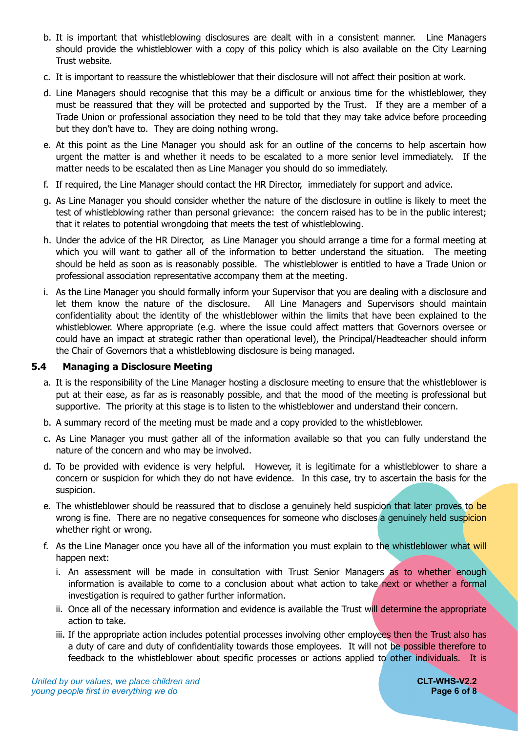- b. It is important that whistleblowing disclosures are dealt with in a consistent manner. Line Managers should provide the whistleblower with a copy of this policy which is also available on the City Learning Trust website.
- c. It is important to reassure the whistleblower that their disclosure will not affect their position at work.
- d. Line Managers should recognise that this may be a difficult or anxious time for the whistleblower, they must be reassured that they will be protected and supported by the Trust. If they are a member of a Trade Union or professional association they need to be told that they may take advice before proceeding but they don't have to. They are doing nothing wrong.
- e. At this point as the Line Manager you should ask for an outline of the concerns to help ascertain how urgent the matter is and whether it needs to be escalated to a more senior level immediately. If the matter needs to be escalated then as Line Manager you should do so immediately.
- f. If required, the Line Manager should contact the HR Director, immediately for support and advice.
- g. As Line Manager you should consider whether the nature of the disclosure in outline is likely to meet the test of whistleblowing rather than personal grievance: the concern raised has to be in the public interest; that it relates to potential wrongdoing that meets the test of whistleblowing.
- h. Under the advice of the HR Director, as Line Manager you should arrange a time for a formal meeting at which you will want to gather all of the information to better understand the situation. The meeting should be held as soon as is reasonably possible. The whistleblower is entitled to have a Trade Union or professional association representative accompany them at the meeting.
- i. As the Line Manager you should formally inform your Supervisor that you are dealing with a disclosure and let them know the nature of the disclosure. All Line Managers and Supervisors should maintain confidentiality about the identity of the whistleblower within the limits that have been explained to the whistleblower. Where appropriate (e.g. where the issue could affect matters that Governors oversee or could have an impact at strategic rather than operational level), the Principal/Headteacher should inform the Chair of Governors that a whistleblowing disclosure is being managed.

#### <span id="page-5-0"></span>**5.4 Managing a Disclosure Meeting**

- a. It is the responsibility of the Line Manager hosting a disclosure meeting to ensure that the whistleblower is put at their ease, as far as is reasonably possible, and that the mood of the meeting is professional but supportive. The priority at this stage is to listen to the whistleblower and understand their concern.
- b. A summary record of the meeting must be made and a copy provided to the whistleblower.
- c. As Line Manager you must gather all of the information available so that you can fully understand the nature of the concern and who may be involved.
- d. To be provided with evidence is very helpful. However, it is legitimate for a whistleblower to share a concern or suspicion for which they do not have evidence. In this case, try to ascertain the basis for the suspicion.
- e. The whistleblower should be reassured that to disclose a genuinely held suspicion that later proves to be wrong is fine. There are no negative consequences for someone who discloses a genuinely held suspicion whether right or wrong.
- f. As the Line Manager once you have all of the information you must explain to the whistleblower what will happen next:
	- i. An assessment will be made in consultation with Trust Senior Managers as to whether enough information is available to come to a conclusion about what action to take next or whether a formal investigation is required to gather further information.
	- ii. Once all of the necessary information and evidence is available the Trust will determine the appropriate action to take.
	- iii. If the appropriate action includes potential processes involving other employees then the Trust also has a duty of care and duty of confidentiality towards those employees. It will not be possible therefore to feedback to the whistleblower about specific processes or actions applied to other individuals. It is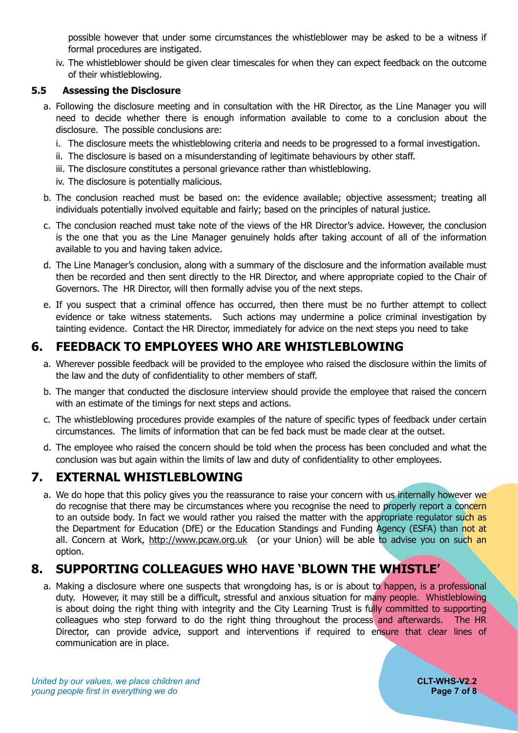possible however that under some circumstances the whistleblower may be asked to be a witness if formal procedures are instigated.

iv. The whistleblower should be given clear timescales for when they can expect feedback on the outcome of their whistleblowing.

#### <span id="page-6-0"></span>**5.5 Assessing the Disclosure**

- a. Following the disclosure meeting and in consultation with the HR Director, as the Line Manager you will need to decide whether there is enough information available to come to a conclusion about the disclosure. The possible conclusions are:
	- i. The disclosure meets the whistleblowing criteria and needs to be progressed to a formal investigation.
	- ii. The disclosure is based on a misunderstanding of legitimate behaviours by other staff.
	- iii. The disclosure constitutes a personal grievance rather than whistleblowing.
	- iv. The disclosure is potentially malicious.
- b. The conclusion reached must be based on: the evidence available; objective assessment; treating all individuals potentially involved equitable and fairly; based on the principles of natural justice.
- c. The conclusion reached must take note of the views of the HR Director's advice. However, the conclusion is the one that you as the Line Manager genuinely holds after taking account of all of the information available to you and having taken advice.
- d. The Line Manager's conclusion, along with a summary of the disclosure and the information available must then be recorded and then sent directly to the HR Director, and where appropriate copied to the Chair of Governors. The HR Director, will then formally advise you of the next steps.
- e. If you suspect that a criminal offence has occurred, then there must be no further attempt to collect evidence or take witness statements. Such actions may undermine a police criminal investigation by tainting evidence. Contact the HR Director, immediately for advice on the next steps you need to take

# **6. FEEDBACK TO EMPLOYEES WHO ARE WHISTLEBLOWING**

- <span id="page-6-1"></span>a. Wherever possible feedback will be provided to the employee who raised the disclosure within the limits of the law and the duty of confidentiality to other members of staff.
- b. The manger that conducted the disclosure interview should provide the employee that raised the concern with an estimate of the timings for next steps and actions.
- c. The whistleblowing procedures provide examples of the nature of specific types of feedback under certain circumstances. The limits of information that can be fed back must be made clear at the outset.
- d. The employee who raised the concern should be told when the process has been concluded and what the conclusion was but again within the limits of law and duty of confidentiality to other employees.

## **7. EXTERNAL WHISTLEBLOWING**

<span id="page-6-2"></span>a. We do hope that this policy gives you the reassurance to raise your concern with us internally however we do recognise that there may be circumstances where you recognise the need to properly report a concern to an outside body. In fact we would rather you raised the matter with the appropriate regulator such as the Department for Education (DfE) or the Education Standings and Funding Agency (ESFA) than not at all. Concern at Work, [http://www.pcaw.org.uk](http://www.pcaw.org.uk/) (or your Union) will be able to advise you on such an option.

## **8. SUPPORTING COLLEAGUES WHO HAVE 'BLOWN THE WHISTLE'**

<span id="page-6-3"></span>a. Making a disclosure where one suspects that wrongdoing has, is or is about to happen, is a professional duty. However, it may still be a difficult, stressful and anxious situation for many people. Whistleblowing is about doing the right thing with integrity and the City Learning Trust is fully committed to supporting colleagues who step forward to do the right thing throughout the process and afterwards. The HR Director, can provide advice, support and interventions if required to ensure that clear lines of communication are in place.